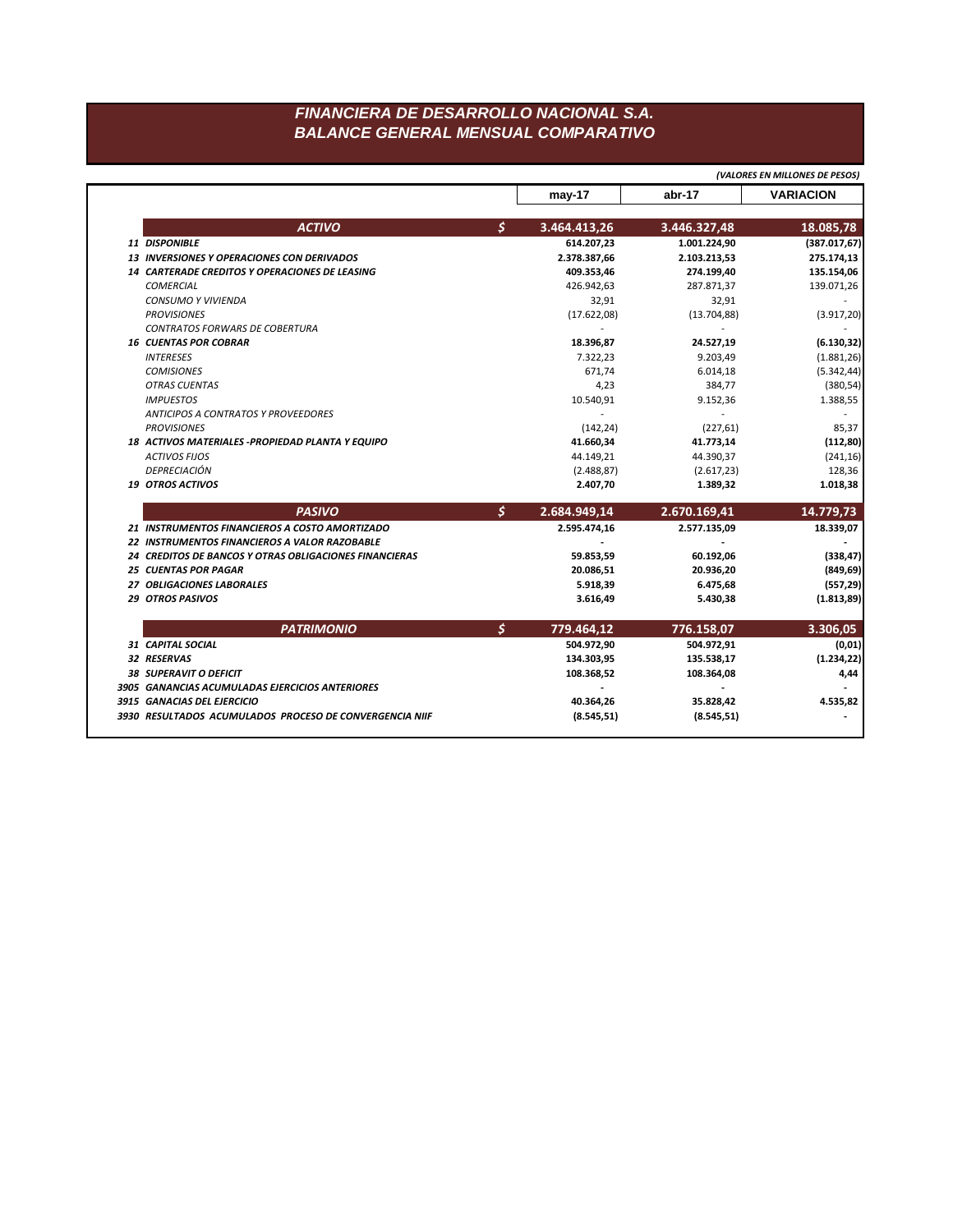## FINANCIERA DE DESARROLLO NACIONAL S.A. **BALANCE GENERAL MENSUAL COMPARATIVO**

|                                                                                |                          | (VALORES EN MILLONES DE PESOS) |                  |
|--------------------------------------------------------------------------------|--------------------------|--------------------------------|------------------|
|                                                                                | $may-17$                 | abr-17                         | <b>VARIACION</b> |
| <b>ACTIVO</b>                                                                  | \$<br>3.464.413,26       | 3.446.327,48                   | 18.085,78        |
| 11 DISPONIBLE                                                                  | 614.207,23               | 1.001.224,90                   | (387.017, 67)    |
| <b>13 INVERSIONES Y OPERACIONES CON DERIVADOS</b>                              | 2.378.387,66             | 2.103.213,53                   | 275.174,13       |
| 14 CARTERADE CREDITOS Y OPERACIONES DE LEASING                                 | 409.353,46               | 274.199,40                     | 135.154,06       |
| <b>COMERCIAL</b>                                                               | 426.942,63               | 287.871,37                     | 139.071,26       |
| <b>CONSUMO Y VIVIENDA</b>                                                      | 32,91                    | 32,91                          |                  |
| <b>PROVISIONES</b>                                                             | (17.622,08)              | (13.704, 88)                   | (3.917, 20)      |
| <b>CONTRATOS FORWARS DE COBERTURA</b>                                          | $\sim$                   | $\overline{a}$                 |                  |
| <b>16 CUENTAS POR COBRAR</b>                                                   | 18.396,87                | 24.527,19                      | (6.130, 32)      |
| <b>INTERESES</b>                                                               | 7.322,23                 | 9.203,49                       | (1.881, 26)      |
| <b>COMISIONES</b>                                                              | 671,74                   | 6.014,18                       | (5.342, 44)      |
| <b>OTRAS CUENTAS</b>                                                           | 4,23                     | 384,77                         | (380, 54)        |
| <b>IMPUESTOS</b>                                                               | 10.540,91                | 9.152,36                       | 1.388,55         |
| <b>ANTICIPOS A CONTRATOS Y PROVEEDORES</b>                                     | $\overline{\phantom{a}}$ | $\overline{\phantom{a}}$       |                  |
| <b>PROVISIONES</b>                                                             | (142, 24)                | (227, 61)                      | 85,37            |
| 18 ACTIVOS MATERIALES - PROPIEDAD PLANTA Y EQUIPO                              | 41.660,34                | 41.773,14                      | (112, 80)        |
| <b>ACTIVOS FIJOS</b>                                                           | 44.149,21                | 44.390,37                      | (241, 16)        |
| <b>DEPRECIACIÓN</b>                                                            | (2.488, 87)              | (2.617, 23)                    | 128,36           |
| <b>19 OTROS ACTIVOS</b>                                                        | 2.407,70                 | 1.389,32                       | 1.018,38         |
| <b>PASIVO</b>                                                                  | \$<br>2.684.949,14       | 2.670.169,41                   | 14.779,73        |
| 21 INSTRUMENTOS FINANCIEROS A COSTO AMORTIZADO                                 | 2.595.474,16             | 2.577.135,09                   | 18.339,07        |
| 22 INSTRUMENTOS FINANCIEROS A VALOR RAZOBABLE                                  |                          |                                |                  |
| 24 CREDITOS DE BANCOS Y OTRAS OBLIGACIONES FINANCIERAS                         | 59.853,59                | 60.192,06                      | (338, 47)        |
| <b>25 CUENTAS POR PAGAR</b>                                                    | 20.086,51                | 20.936,20                      | (849, 69)        |
| 27 OBLIGACIONES LABORALES                                                      | 5.918,39                 | 6.475,68                       | (557, 29)        |
| <b>29 OTROS PASIVOS</b>                                                        | 3.616,49                 | 5.430,38                       | (1.813, 89)      |
| <b>PATRIMONIO</b>                                                              | \$<br>779.464,12         | 776.158,07                     | 3.306,05         |
| 31 CAPITAL SOCIAL                                                              | 504.972,90               | 504.972,91                     | (0,01)           |
| 32 RESERVAS                                                                    | 134.303,95               | 135.538,17                     | (1.234, 22)      |
|                                                                                |                          |                                |                  |
|                                                                                |                          |                                |                  |
| 38 SUPERAVIT O DEFICIT                                                         | 108.368,52               | 108.364,08                     | 4,44             |
| 3905 GANANCIAS ACUMULADAS EJERCICIOS ANTERIORES<br>3915 GANACIAS DEL EJERCICIO | 40.364,26                | 35.828.42                      | 4.535,82         |